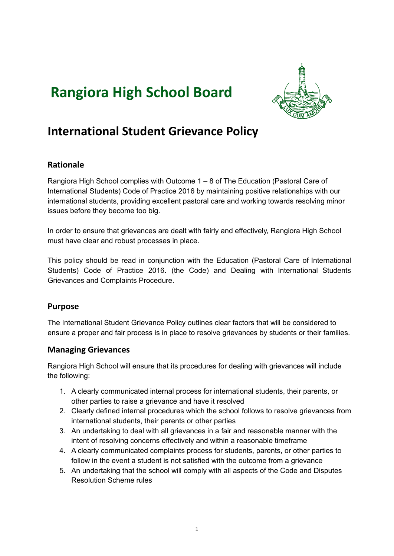# **Rangiora High School Board**



# **International Student Grievance Policy**

# **Rationale**

Rangiora High School complies with Outcome 1 – 8 of The Education (Pastoral Care of International Students) Code of Practice 2016 by maintaining positive relationships with our international students, providing excellent pastoral care and working towards resolving minor issues before they become too big.

In order to ensure that grievances are dealt with fairly and effectively, Rangiora High School must have clear and robust processes in place.

This policy should be read in conjunction with the Education (Pastoral Care of International Students) Code of Practice 2016. (the Code) and Dealing with International Students Grievances and Complaints Procedure.

#### **Purpose**

The International Student Grievance Policy outlines clear factors that will be considered to ensure a proper and fair process is in place to resolve grievances by students or their families.

#### **Managing Grievances**

Rangiora High School will ensure that its procedures for dealing with grievances will include the following:

- 1. A clearly communicated internal process for international students, their parents, or other parties to raise a grievance and have it resolved
- 2. Clearly defined internal procedures which the school follows to resolve grievances from international students, their parents or other parties
- 3. An undertaking to deal with all grievances in a fair and reasonable manner with the intent of resolving concerns effectively and within a reasonable timeframe
- 4. A clearly communicated complaints process for students, parents, or other parties to follow in the event a student is not satisfied with the outcome from a grievance
- 5. An undertaking that the school will comply with all aspects of the Code and Disputes Resolution Scheme rules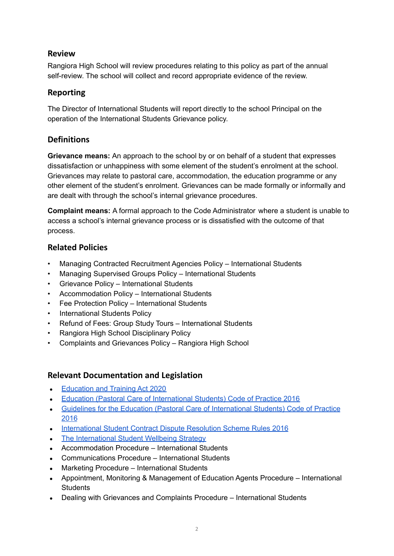#### **Review**

Rangiora High School will review procedures relating to this policy as part of the annual self-review. The school will collect and record appropriate evidence of the review.

#### **Reporting**

The Director of International Students will report directly to the school Principal on the operation of the International Students Grievance policy.

# **Definitions**

**Grievance means:** An approach to the school by or on behalf of a student that expresses dissatisfaction or unhappiness with some element of the student's enrolment at the school. Grievances may relate to pastoral care, accommodation, the education programme or any other element of the student's enrolment. Grievances can be made formally or informally and are dealt with through the school's internal grievance procedures.

**Complaint means:** A formal approach to the Code Administrator where a student is unable to access a school's internal grievance process or is dissatisfied with the outcome of that process.

# **Related Policies**

- Managing Contracted Recruitment Agencies Policy International Students
- Managing Supervised Groups Policy International Students
- Grievance Policy International Students
- Accommodation Policy International Students
- Fee Protection Policy International Students
- International Students Policy
- Refund of Fees: Group Study Tours International Students
- Rangiora High School Disciplinary Policy
- Complaints and Grievances Policy Rangiora High School

#### **Relevant Documentation and Legislation**

- [Education](https://www.legislation.govt.nz/act/public/2020/0038/latest/LMS170676.html) and Training Act 2020
- Education (Pastoral Care of [International](http://www.legislation.govt.nz/regulation/public/2016/0057/latest/DLM6748147.html) Students) Code of Practice 2016
- Guidelines for the Education (Pastoral Care of [International](https://www.nzqa.govt.nz/assets/Providers-and-partners/Code-of-Practice/guidelines-code-of-practice-2019.pdf) Students) Code of Practice [2016](https://www.nzqa.govt.nz/assets/Providers-and-partners/Code-of-Practice/guidelines-code-of-practice-2019.pdf)
- [International](http://legislation.govt.nz/regulation/public/2016/0042/latest/whole.html#DLM6748772) Student Contract Dispute Resolution Scheme Rules 2016
- The [International](https://www.education.govt.nz/assets/Documents/Ministry/Strategies-and-policies/internationlStudentWellbeingStrategyJune2017.pdf) Student Wellbeing Strategy
- Accommodation Procedure International Students
- Communications Procedure International Students
- Marketing Procedure International Students
- Appointment, Monitoring & Management of Education Agents Procedure International **Students**
- Dealing with Grievances and Complaints Procedure International Students